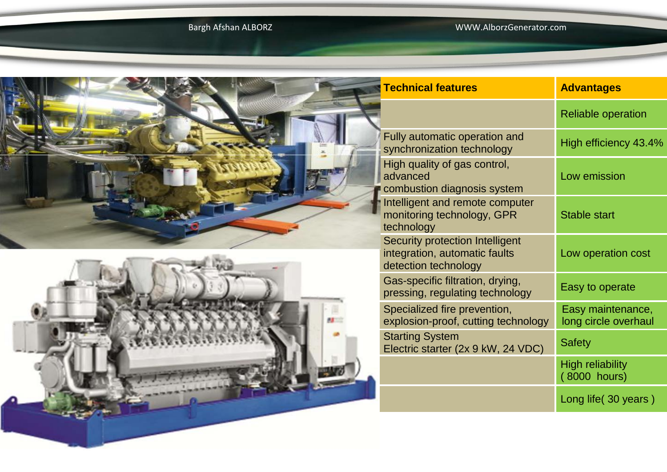63

## Bargh Afshan ALBORZ WWW.AlborzGenerator.com



|  | <b>Technical features</b>                                                                | <b>Advantages</b>                         |  |  |
|--|------------------------------------------------------------------------------------------|-------------------------------------------|--|--|
|  |                                                                                          | <b>Reliable operation</b>                 |  |  |
|  | Fully automatic operation and<br>synchronization technology                              | High efficiency 43.4%                     |  |  |
|  | High quality of gas control,<br>advanced<br>combustion diagnosis system                  | Low emission                              |  |  |
|  | Intelligent and remote computer<br>monitoring technology, GPR<br>technology              | <b>Stable start</b>                       |  |  |
|  | Security protection Intelligent<br>integration, automatic faults<br>detection technology | Low operation cost                        |  |  |
|  | Gas-specific filtration, drying,<br>pressing, regulating technology                      | Easy to operate                           |  |  |
|  | Specialized fire prevention,<br>explosion-proof, cutting technology                      | Easy maintenance,<br>long circle overhaul |  |  |
|  | <b>Starting System</b><br>Electric starter (2x 9 kW, 24 VDC)                             | <b>Safety</b>                             |  |  |
|  |                                                                                          | <b>High reliability</b><br>(8000 hours)   |  |  |
|  |                                                                                          | Long life (30 years)                      |  |  |